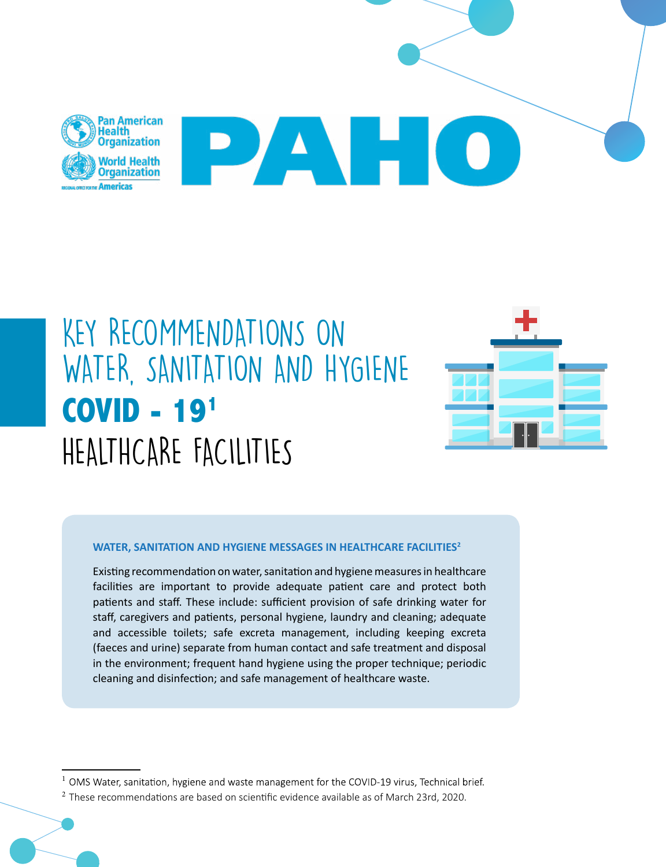

# KEY RECOMMENDATIONS ON WATER, SANITATION AND HYGIENE **COVID - 191** HEALTHCARE FACILITIES



#### WATER, SANITATION AND HYGIENE MESSAGES IN HEALTHCARE FACILITIES<sup>2</sup>

Existing recommendation on water, sanitation and hygiene measures in healthcare facilities are important to provide adequate patient care and protect both patients and staff. These include: sufficient provision of safe drinking water for staff, caregivers and patients, personal hygiene, laundry and cleaning; adequate and accessible toilets; safe excreta management, including keeping excreta (faeces and urine) separate from human contact and safe treatment and disposal in the environment; frequent hand hygiene using the proper technique; periodic cleaning and disinfection; and safe management of healthcare waste.

 $1$  OMS Water, sanitation, hygiene and waste management for the COVID-19 virus, Technical brief.

 $<sup>2</sup>$  These recommendations are based on scientific evidence available as of March 23rd, 2020.</sup>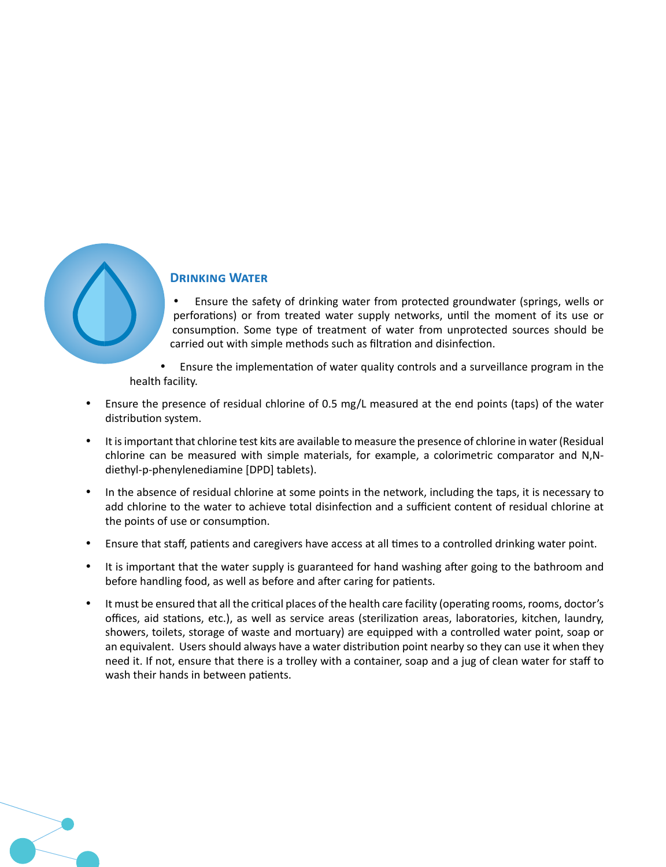

#### **Drinking Water**

- Ensure the safety of drinking water from protected groundwater (springs, wells or perforations) or from treated water supply networks, until the moment of its use or consumption. Some type of treatment of water from unprotected sources should be carried out with simple methods such as filtration and disinfection.
- Ensure the implementation of water quality controls and a surveillance program in the health facility.
- Ensure the presence of residual chlorine of 0.5 mg/L measured at the end points (taps) of the water distribution system.
- It is important that chlorine test kits are available to measure the presence of chlorine in water (Residual chlorine can be measured with simple materials, for example, a colorimetric comparator and N,Ndiethyl-p-phenylenediamine [DPD] tablets).
- In the absence of residual chlorine at some points in the network, including the taps, it is necessary to add chlorine to the water to achieve total disinfection and a sufficient content of residual chlorine at the points of use or consumption.
- Ensure that staff, patients and caregivers have access at all times to a controlled drinking water point.
- It is important that the water supply is guaranteed for hand washing after going to the bathroom and before handling food, as well as before and after caring for patients.
- It must be ensured that all the critical places of the health care facility (operating rooms, rooms, doctor's offices, aid stations, etc.), as well as service areas (sterilization areas, laboratories, kitchen, laundry, showers, toilets, storage of waste and mortuary) are equipped with a controlled water point, soap or an equivalent. Users should always have a water distribution point nearby so they can use it when they need it. If not, ensure that there is a trolley with a container, soap and a jug of clean water for staff to wash their hands in between patients.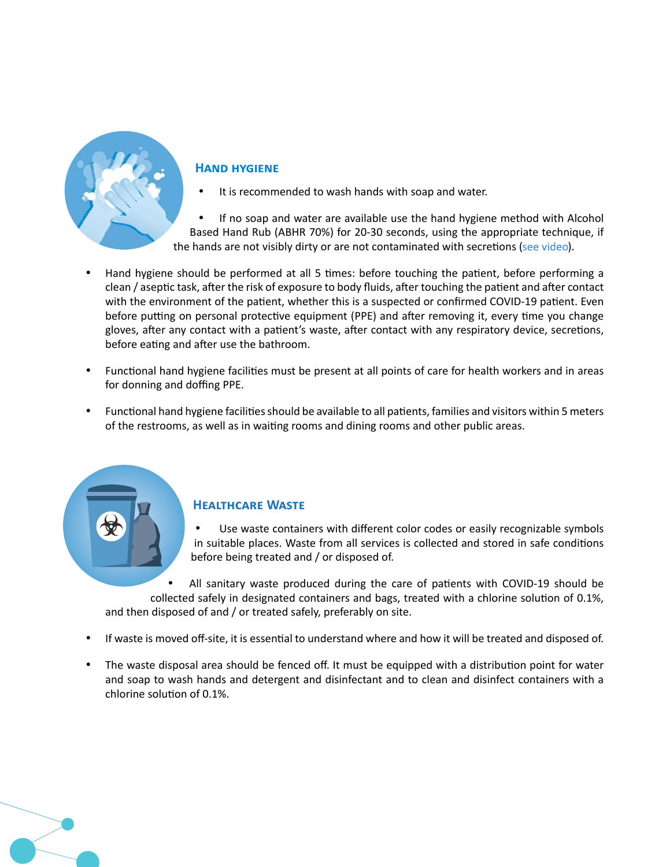

#### **Hand hygiene**

It is recommended to wash hands with soap and water.

If no soap and water are available use the hand hygiene method with Alcohol Based Hand Rub (ABHR 70%) for 20-30 seconds, using the appropriate technique, if the hands are not visibly dirty or are not contaminated with secretions (see video).

- Hand hygiene should be performed at all 5 times: before touching the patient, before performing a clean / aseptic task, after the risk of exposure to body fluids, after touching the patient and after contact with the environment of the patient, whether this is a suspected or confirmed COVID-19 patient. Even before putting on personal protective equipment (PPE) and after removing it, every time you change gloves, after any contact with a patient's waste, after contact with any respiratory device, secretions, before eating and after use the bathroom.
- Functional hand hygiene facilities must be present at all points of care for health workers and in areas for donning and doffing PPE.
- Functional hand hygiene facilities should be available to all patients, families and visitors within 5 meters of the restrooms, as well as in waiting rooms and dining rooms and other public areas.

## **Healthcare Waste**

Use waste containers with different color codes or easily recognizable symbols in suitable places. Waste from all services is collected and stored in safe conditions before being treated and / or disposed of.

All sanitary waste produced during the care of patients with COVID-19 should be collected safely in designated containers and bags, treated with a chlorine solution of 0.1%, and then disposed of and / or treated safely, preferably on site.

- If waste is moved off-site, it is essential to understand where and how it will be treated and disposed of.
- The waste disposal area should be fenced off. It must be equipped with a distribution point for water and soap to wash hands and detergent and disinfectant and to clean and disinfect containers with a chlorine solution of 0.1%.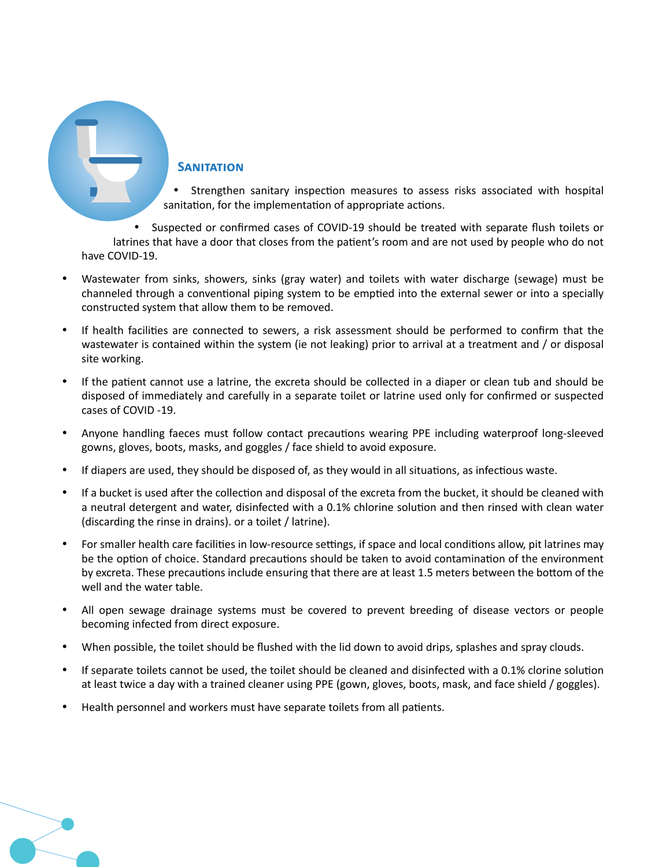**SANITATION** 

Strengthen sanitary inspection measures to assess risks associated with hospital sanitation, for the implementation of appropriate actions.

• Suspected or confirmed cases of COVID-19 should be treated with separate flush toilets or latrines that have a door that closes from the patient's room and are not used by people who do not have COVID-19.

- Wastewater from sinks, showers, sinks (gray water) and toilets with water discharge (sewage) must be channeled through a conventional piping system to be emptied into the external sewer or into a specially constructed system that allow them to be removed.
- • If health facilities are connected to sewers, a risk assessment should be performed to confirm that the wastewater is contained within the system (ie not leaking) prior to arrival at a treatment and / or disposal site working.
- If the patient cannot use a latrine, the excreta should be collected in a diaper or clean tub and should be disposed of immediately and carefully in a separate toilet or latrine used only for confirmed or suspected cases of COVID -19.
- Anyone handling faeces must follow contact precautions wearing PPE including waterproof long-sleeved gowns, gloves, boots, masks, and goggles / face shield to avoid exposure.
- If diapers are used, they should be disposed of, as they would in all situations, as infectious waste.
- If a bucket is used after the collection and disposal of the excreta from the bucket, it should be cleaned with a neutral detergent and water, disinfected with a 0.1% chlorine solution and then rinsed with clean water (discarding the rinse in drains). or a toilet / latrine).
- For smaller health care facilities in low-resource settings, if space and local conditions allow, pit latrines may be the option of choice. Standard precautions should be taken to avoid contamination of the environment by excreta. These precautions include ensuring that there are at least 1.5 meters between the bottom of the well and the water table.
- • All open sewage drainage systems must be covered to prevent breeding of disease vectors or people becoming infected from direct exposure.
- When possible, the toilet should be flushed with the lid down to avoid drips, splashes and spray clouds.
- If separate toilets cannot be used, the toilet should be cleaned and disinfected with a 0.1% clorine solution at least twice a day with a trained cleaner using PPE (gown, gloves, boots, mask, and face shield / goggles).
- Health personnel and workers must have separate toilets from all patients.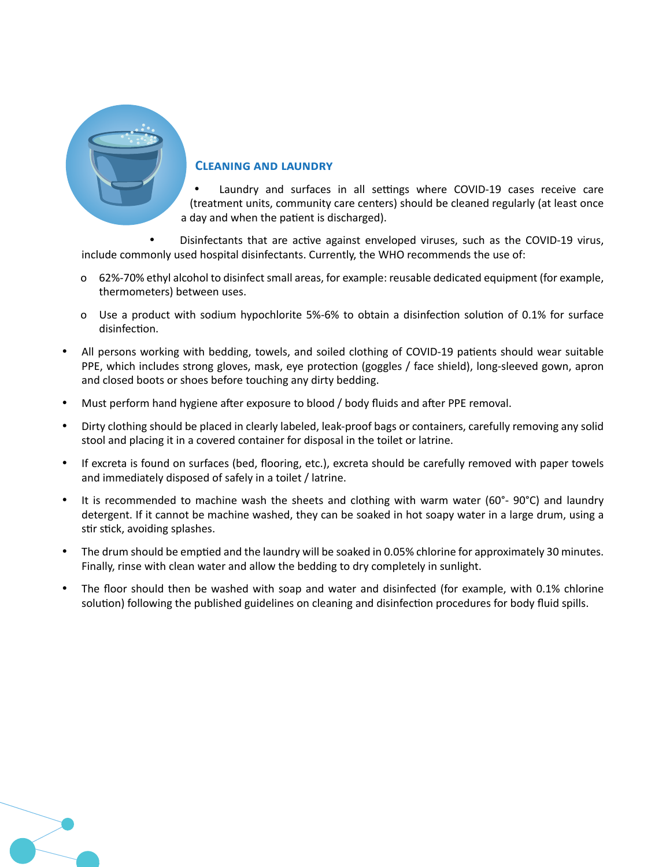

#### **Cleaning and laundry**

Laundry and surfaces in all settings where COVID-19 cases receive care (treatment units, community care centers) should be cleaned regularly (at least once a day and when the patient is discharged).

Disinfectants that are active against enveloped viruses, such as the COVID-19 virus, include commonly used hospital disinfectants. Currently, the WHO recommends the use of:

- o 62%-70% ethyl alcohol to disinfect small areas, for example: reusable dedicated equipment (for example, thermometers) between uses.
- o Use a product with sodium hypochlorite 5%-6% to obtain a disinfection solution of 0.1% for surface disinfection.
- All persons working with bedding, towels, and soiled clothing of COVID-19 patients should wear suitable PPE, which includes strong gloves, mask, eye protection (goggles / face shield), long-sleeved gown, apron and closed boots or shoes before touching any dirty bedding.
- Must perform hand hygiene after exposure to blood / body fluids and after PPE removal.
- Dirty clothing should be placed in clearly labeled, leak-proof bags or containers, carefully removing any solid stool and placing it in a covered container for disposal in the toilet or latrine.
- • If excreta is found on surfaces (bed, flooring, etc.), excreta should be carefully removed with paper towels and immediately disposed of safely in a toilet / latrine.
- It is recommended to machine wash the sheets and clothing with warm water (60 $^{\circ}$  90 $^{\circ}$ C) and laundry detergent. If it cannot be machine washed, they can be soaked in hot soapy water in a large drum, using a stir stick, avoiding splashes.
- The drum should be emptied and the laundry will be soaked in 0.05% chlorine for approximately 30 minutes. Finally, rinse with clean water and allow the bedding to dry completely in sunlight.
- The floor should then be washed with soap and water and disinfected (for example, with 0.1% chlorine solution) following the published guidelines on cleaning and disinfection procedures for body fluid spills.